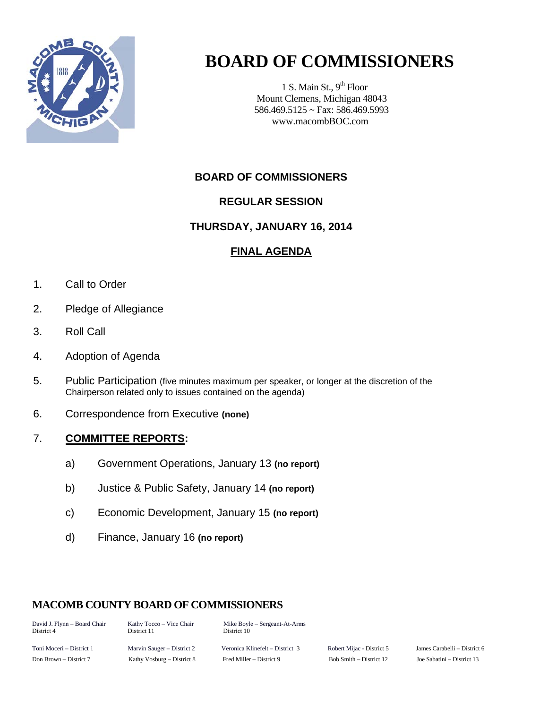

# **BOARD OF COMMISSIONERS**

1 S. Main St.,  $9<sup>th</sup>$  Floor Mount Clemens, Michigan 48043 586.469.5125 ~ Fax: 586.469.5993 www.macombBOC.com

# **BOARD OF COMMISSIONERS**

# **REGULAR SESSION**

#### **THURSDAY, JANUARY 16, 2014**

### **FINAL AGENDA**

- 1. Call to Order
- 2. Pledge of Allegiance
- 3. Roll Call
- 4. Adoption of Agenda
- 5. Public Participation (five minutes maximum per speaker, or longer at the discretion of the Chairperson related only to issues contained on the agenda)
- 6. Correspondence from Executive **(none)**

#### 7. **COMMITTEE REPORTS:**

- a) Government Operations, January 13 **(no report)**
- b) Justice & Public Safety, January 14 **(no report)**
- c) Economic Development, January 15 **(no report)**
- d) Finance, January 16 **(no report)**

### **MACOMB COUNTY BOARD OF COMMISSIONERS**

District 11

David J. Flynn – Board Chair Kathy Tocco – Vice Chair Mike Boyle – Sergeant-At-Arms<br>District 4 District 11 District 10

Toni Moceri – District 1 Marvin Sauger – District 2 Veronica Klinefelt – District 3 Robert Mijac - District 5 James Carabelli – District 6 Don Brown – District 7 Kathy Vosburg – District 8 Fred Miller – District 9 Bob Smith – District 12 Joe Sabatini – District 13